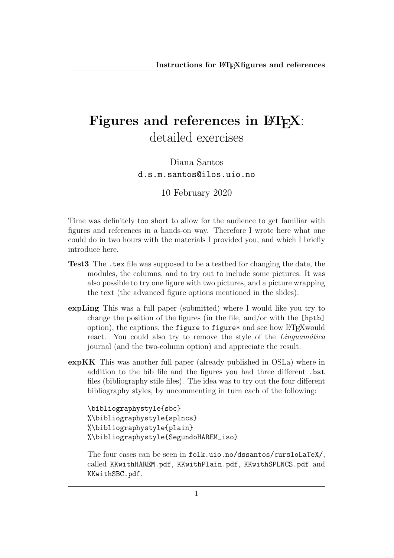## Figures and references in  $\text{BTr} X$ : detailed exercises

Diana Santos d.s.m.santos@ilos.uio.no

10 February 2020

Time was definitely too short to allow for the audience to get familiar with figures and references in a hands-on way. Therefore I wrote here what one could do in two hours with the materials I provided you, and which I briefly introduce here.

- Test3 The .tex file was supposed to be a testbed for changing the date, the modules, the columns, and to try out to include some pictures. It was also possible to try one figure with two pictures, and a picture wrapping the text (the advanced figure options mentioned in the slides).
- expLing This was a full paper (submitted) where I would like you try to change the position of the figures (in the file, and/or with the [hptb] option), the captions, the figure to figure\* and see how LAT<sub>EX</sub> would react. You could also try to remove the style of the *Linguamática* journal (and the two-column option) and appreciate the result.
- expKK This was another full paper (already published in OSLa) where in addition to the bib file and the figures you had three different .bst files (bibliography stile files). The idea was to try out the four different bibliography styles, by uncommenting in turn each of the following:

\bibliographystyle{sbc} %\bibliographystyle{splncs} %\bibliographystyle{plain} %\bibliographystyle{SegundoHAREM\_iso}

The four cases can be seen in folk.uio.no/dssantos/cursloLaTeX/, called KKwithHAREM.pdf, KKwithPlain.pdf, KKwithSPLNCS.pdf and KKwithSBC.pdf.